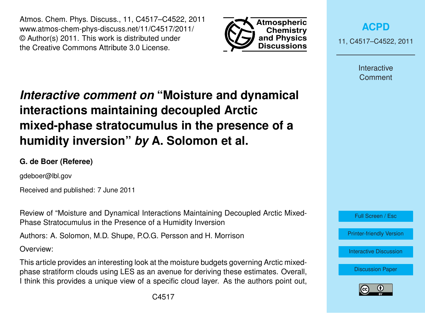Atmos. Chem. Phys. Discuss., 11, C4517–C4522, 2011 www.atmos-chem-phys-discuss.net/11/C4517/2011/ © Author(s) 2011. This work is distributed under the Creative Commons Attribute 3.0 License.



**[ACPD](http://www.atmos-chem-phys-discuss.net)**

11, C4517–C4522, 2011

Interactive **Comment** 

# *Interactive comment on* **"Moisture and dynamical interactions maintaining decoupled Arctic mixed-phase stratocumulus in the presence of a humidity inversion"** *by* **A. Solomon et al.**

## **G. de Boer (Referee)**

gdeboer@lbl.gov

Received and published: 7 June 2011

Review of "Moisture and Dynamical Interactions Maintaining Decoupled Arctic Mixed-Phase Stratocumulus in the Presence of a Humidity Inversion

Authors: A. Solomon, M.D. Shupe, P.O.G. Persson and H. Morrison

Overview:

This article provides an interesting look at the moisture budgets governing Arctic mixedphase stratiform clouds using LES as an avenue for deriving these estimates. Overall, I think this provides a unique view of a specific cloud layer. As the authors point out,



Full Screen / Esc

[Printer-friendly Version](http://www.atmos-chem-phys-discuss.net/11/C4517/2011/acpd-11-C4517-2011-print.pdf)

[Interactive Discussion](http://www.atmos-chem-phys-discuss.net/11/13469/2011/acpd-11-13469-2011-discussion.html)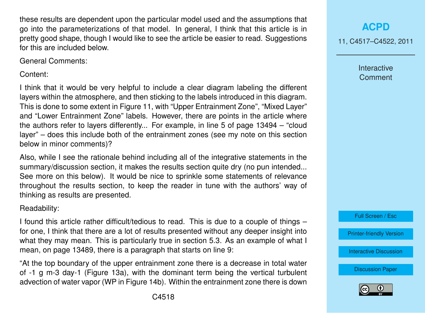these results are dependent upon the particular model used and the assumptions that go into the parameterizations of that model. In general, I think that this article is in pretty good shape, though I would like to see the article be easier to read. Suggestions for this are included below.

General Comments:

Content:

I think that it would be very helpful to include a clear diagram labeling the different layers within the atmosphere, and then sticking to the labels introduced in this diagram. This is done to some extent in Figure 11, with "Upper Entrainment Zone", "Mixed Layer" and "Lower Entrainment Zone" labels. However, there are points in the article where the authors refer to layers differently... For example, in line 5 of page 13494 – "cloud layer" – does this include both of the entrainment zones (see my note on this section below in minor comments)?

Also, while I see the rationale behind including all of the integrative statements in the summary/discussion section, it makes the results section quite dry (no pun intended... See more on this below). It would be nice to sprinkle some statements of relevance throughout the results section, to keep the reader in tune with the authors' way of thinking as results are presented.

Readability:

I found this article rather difficult/tedious to read. This is due to a couple of things – for one, I think that there are a lot of results presented without any deeper insight into what they may mean. This is particularly true in section 5.3. As an example of what I mean, on page 13489, there is a paragraph that starts on line 9:

"At the top boundary of the upper entrainment zone there is a decrease in total water of -1 g m-3 day-1 (Figure 13a), with the dominant term being the vertical turbulent advection of water vapor (WP in Figure 14b). Within the entrainment zone there is down

11, C4517–C4522, 2011

Interactive **Comment** 

Full Screen / Esc

[Printer-friendly Version](http://www.atmos-chem-phys-discuss.net/11/C4517/2011/acpd-11-C4517-2011-print.pdf)

[Interactive Discussion](http://www.atmos-chem-phys-discuss.net/11/13469/2011/acpd-11-13469-2011-discussion.html)

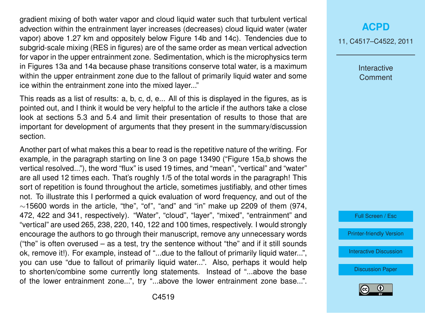gradient mixing of both water vapor and cloud liquid water such that turbulent vertical advection within the entrainment layer increases (decreases) cloud liquid water (water vapor) above 1.27 km and oppositely below Figure 14b and 14c). Tendencies due to subgrid-scale mixing (RES in figures) are of the same order as mean vertical advection for vapor in the upper entrainment zone. Sedimentation, which is the microphysics term in Figures 13a and 14a because phase transitions conserve total water, is a maximum within the upper entrainment zone due to the fallout of primarily liquid water and some ice within the entrainment zone into the mixed layer..."

This reads as a list of results: a, b, c, d, e... All of this is displayed in the figures, as is pointed out, and I think it would be very helpful to the article if the authors take a close look at sections 5.3 and 5.4 and limit their presentation of results to those that are important for development of arguments that they present in the summary/discussion section.

Another part of what makes this a bear to read is the repetitive nature of the writing. For example, in the paragraph starting on line 3 on page 13490 ("Figure 15a,b shows the vertical resolved..."), the word "flux" is used 19 times, and "mean", "vertical" and "water" are all used 12 times each. That's roughly 1/5 of the total words in the paragraph! This sort of repetition is found throughout the article, sometimes justifiably, and other times not. To illustrate this I performed a quick evaluation of word frequency, and out of the  $\sim$ 15600 words in the article, "the", "of", "and" and "in" make up 2209 of them (974, 472, 422 and 341, respectively). "Water", "cloud", "layer", "mixed", "entrainment" and "vertical" are used 265, 238, 220, 140, 122 and 100 times, respectively. I would strongly encourage the authors to go through their manuscript, remove any unnecessary words ("the" is often overused  $-$  as a test, try the sentence without "the" and if it still sounds ok, remove it!). For example, instead of "...due to the fallout of primarily liquid water...", you can use "due to fallout of primarily liquid water...". Also, perhaps it would help to shorten/combine some currently long statements. Instead of "...above the base of the lower entrainment zone...", try "...above the lower entrainment zone base...".

## **[ACPD](http://www.atmos-chem-phys-discuss.net)**

11, C4517–C4522, 2011

Interactive **Comment** 

Full Screen / Esc

[Printer-friendly Version](http://www.atmos-chem-phys-discuss.net/11/C4517/2011/acpd-11-C4517-2011-print.pdf)

[Interactive Discussion](http://www.atmos-chem-phys-discuss.net/11/13469/2011/acpd-11-13469-2011-discussion.html)

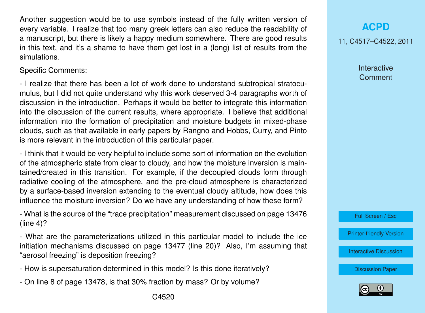Another suggestion would be to use symbols instead of the fully written version of every variable. I realize that too many greek letters can also reduce the readability of a manuscript, but there is likely a happy medium somewhere. There are good results in this text, and it's a shame to have them get lost in a (long) list of results from the simulations.

Specific Comments:

- I realize that there has been a lot of work done to understand subtropical stratocumulus, but I did not quite understand why this work deserved 3-4 paragraphs worth of discussion in the introduction. Perhaps it would be better to integrate this information into the discussion of the current results, where appropriate. I believe that additional information into the formation of precipitation and moisture budgets in mixed-phase clouds, such as that available in early papers by Rangno and Hobbs, Curry, and Pinto is more relevant in the introduction of this particular paper.

- I think that it would be very helpful to include some sort of information on the evolution of the atmospheric state from clear to cloudy, and how the moisture inversion is maintained/created in this transition. For example, if the decoupled clouds form through radiative cooling of the atmosphere, and the pre-cloud atmosphere is characterized by a surface-based inversion extending to the eventual cloudy altitude, how does this influence the moisture inversion? Do we have any understanding of how these form?

- What is the source of the "trace precipitation" measurement discussed on page 13476 (line 4)?

- What are the parameterizations utilized in this particular model to include the ice initiation mechanisms discussed on page 13477 (line 20)? Also, I'm assuming that "aerosol freezing" is deposition freezing?

- How is supersaturation determined in this model? Is this done iteratively?
- On line 8 of page 13478, is that 30% fraction by mass? Or by volume?

#### **[ACPD](http://www.atmos-chem-phys-discuss.net)**

11, C4517–C4522, 2011

Interactive **Comment** 

Full Screen / Esc

[Printer-friendly Version](http://www.atmos-chem-phys-discuss.net/11/C4517/2011/acpd-11-C4517-2011-print.pdf)

[Interactive Discussion](http://www.atmos-chem-phys-discuss.net/11/13469/2011/acpd-11-13469-2011-discussion.html)

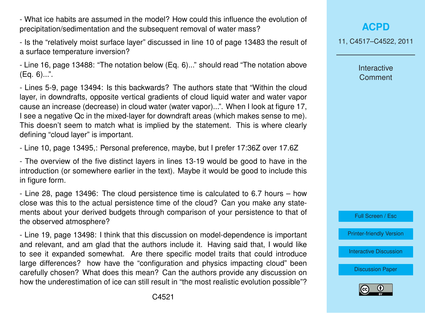- What ice habits are assumed in the model? How could this influence the evolution of precipitation/sedimentation and the subsequent removal of water mass?

- Is the "relatively moist surface layer" discussed in line 10 of page 13483 the result of a surface temperature inversion?

- Line 16, page 13488: "The notation below (Eq. 6)..." should read "The notation above (Eq. 6)...".

- Lines 5-9, page 13494: Is this backwards? The authors state that "Within the cloud layer, in downdrafts, opposite vertical gradients of cloud liquid water and water vapor cause an increase (decrease) in cloud water (water vapor)...". When I look at figure 17, I see a negative Qc in the mixed-layer for downdraft areas (which makes sense to me). This doesn't seem to match what is implied by the statement. This is where clearly defining "cloud layer" is important.

- Line 10, page 13495,: Personal preference, maybe, but I prefer 17:36Z over 17.6Z

- The overview of the five distinct layers in lines 13-19 would be good to have in the introduction (or somewhere earlier in the text). Maybe it would be good to include this in figure form.

- Line 28, page 13496: The cloud persistence time is calculated to 6.7 hours – how close was this to the actual persistence time of the cloud? Can you make any statements about your derived budgets through comparison of your persistence to that of the observed atmosphere?

- Line 19, page 13498: I think that this discussion on model-dependence is important and relevant, and am glad that the authors include it. Having said that, I would like to see it expanded somewhat. Are there specific model traits that could introduce large differences? how have the "configuration and physics impacting cloud" been carefully chosen? What does this mean? Can the authors provide any discussion on how the underestimation of ice can still result in "the most realistic evolution possible"?

11, C4517–C4522, 2011

Interactive **Comment** 



[Printer-friendly Version](http://www.atmos-chem-phys-discuss.net/11/C4517/2011/acpd-11-C4517-2011-print.pdf)

[Interactive Discussion](http://www.atmos-chem-phys-discuss.net/11/13469/2011/acpd-11-13469-2011-discussion.html)